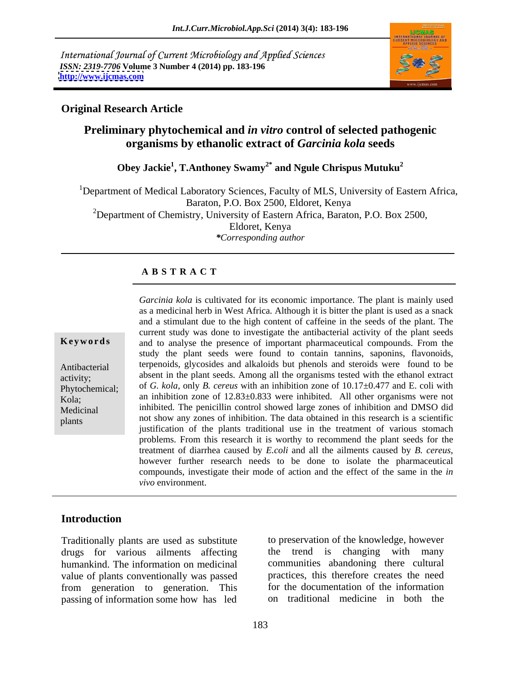International Journal of Current Microbiology and Applied Sciences *ISSN: 2319-7706* **Volume 3 Number 4 (2014) pp. 183-196 <http://www.ijcmas.com>**



### **Original Research Article**

## **Preliminary phytochemical and** *in vitro* **control of selected pathogenic organisms by ethanolic extract of** *Garcinia kola* **seeds**

**Obey Jackie<sup>1</sup> , T.Anthoney Swamy2\* and Ngule Chrispus Mutuku2**

<sup>1</sup>Department of Medical Laboratory Sciences, Faculty of MLS, University of Eastern Africa, Baraton, P.O. Box 2500, Eldoret, Kenya <sup>2</sup>Department of Chemistry, University of Eastern Africa, Baraton, P.O. Box 2500, Eldoret, Kenya *\*Corresponding author*

### **A B S T R A C T**

**Keywords** and to analyse the presence of important pharmaceutical compounds. From the Antibacterial terpenoids, glycosides and alkaloids but phenols and steroids were found to be activity; absent in the plant seeds. Among all the organisms tested with the ethanol extract Phytochemical; of *G. kola*, only *B. cereus* with an inhibition zone of 10.17±0.477 and E. coli with Kola; an inhibition zone of 12.83±0.833 were inhibited. All other organisms were not Medicinal inhibited. The penicillin control showed large zones of inhibition and DMSO did plants not show any zones of inhibition. The data obtained in this research is a scientific *Garcinia kola* is cultivated for its economic importance. The plant is mainly used as a medicinal herb in West Africa. Although it is bitter the plant is used as a snack and a stimulant due to the high content of caffeine in the seeds of the plant. The current study was done to investigate the antibacterial activity of the plant seeds study the plant seeds were found to contain tannins, saponins, flavonoids, justification of the plants traditional use in the treatment of various stomach problems. From this research it is worthy to recommend the plant seeds for the treatment of diarrhea caused by *E.coli* and all the ailments caused by *B. cereus*, however further research needs to be done to isolate the pharmaceutical compounds, investigate their mode of action and the effect of the same in the *in vivo* environment.

### **Introduction**

Traditionally plants are used as substitute to preservation of the knowledge, however drugs for various ailments affecting the trend is changing with many drugs for various ailments affecting humankind. The information on medicinal value of plants conventionally was passed from generation to generation. This passing of information some how has led

to preservation of the knowledge, however the trend is changing communities abandoning there cultural practices, this therefore creates the need for the documentation of the information on traditional medicine in both the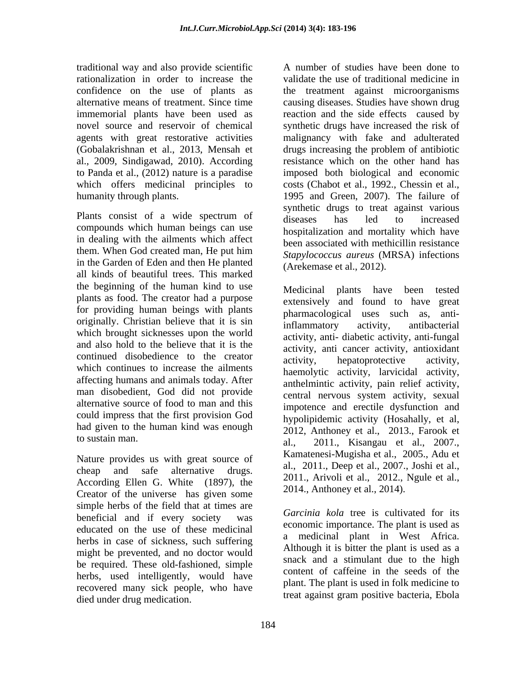traditional way and also provide scientific rationalization in order to increase the al., 2009, Sindigawad, 2010). According to Panda et al.,  $(2012)$  nature is a paradise

Plants consist of a wide spectrum of diseases has led to increased compounds which human beings can use in dealing with the ailments which affect in the Garden of Eden and then He planted all kinds of beautiful trees. This marked the beginning of the human kind to use Medicinal plants have been tested plants as food. The creator had a purpose for providing human beings with plants originally. Christian believe that it is sin inflammatory activity, antibacterial which brought sicknesses upon the world and also hold to the believe that it is the continued disobedience to the creator activity, and called the activity, and continued activity, which continues to increase the ailments affecting humans and animals today. After man disobedient, God did not provide alternative source of food to man and this could impress that the first provision God had given to the human kind was enough

Nature provides us with great source of According Ellen G. White (1897), the Creator of the universe has given some simple herbs of the field that at times are beneficial and if every society was educated on the use of these medicinal herbs in case of sickness, such suffering might be prevented, and no doctor would be required. These old-fashioned, simple herbs, used intelligently, would have recovered many sick people, who have died under drug medication.

confidence on the use of plants as the treatment against microorganisms alternative means of treatment. Since time causing diseases. Studies have shown drug immemorial plants have been used as reaction and the side effects caused by novel source and reservoir of chemical synthetic drugs have increased the risk of agents with great restorative activities malignancy with fake and adulterated (Gobalakrishnan et al., 2013, Mensah et drugs increasing the problem of antibiotic which offers medicinal principles to costs (Chabot et al., 1992., Chessin et al., humanity through plants. 1995 and Green, 2007). The failure of them. When God created man, He put him Stanshope State and the measurement of the state of the state of the state of the state of the state of the state of the state of the state of the state of the state of the state of t A number of studies have been done to validate the use of traditional medicine in resistance which on the other hand has imposed both biological and economic synthetic drugs to treat against various diseases has led to increased hospitalization and mortality which have been associated with methicillin resistance *Stapylococcus aureus* (MRSA) infections (Arekemase et al., 2012).

to sustain man.  $a_1$ ,  $a_2$ ,  $a_3$ ,  $a_4$ ,  $a_5$ ,  $a_6$ ,  $a_7$ ,  $a_8$ ,  $a_7$ ,  $a_8$ ,  $a_9$ ,  $a_9$ ,  $a_1$ ,  $a_2$ ,  $a_3$ ,  $a_4$ ,  $a_5$ ,  $a_7$ ,  $a_8$ ,  $a_9$ ,  $a_1$ ,  $a_2$ ,  $a_3$ ,  $a_4$ ,  $a_5$ ,  $a_6$ ,  $a_7$ ,  $a_8$ ,  $a_9$ ,  $a$ cheap and safe alternative drugs.  $a_1$ ,  $2011$ ,  $D \neq 0$  allernative drugs. Medicinal plants have extensively and found to have great pharmacological uses such as, antiinflammatory activity, antibacterial activity, anti- diabetic activity, anti-fungal activity, anti cancer activity, antioxidant activity, hepatoprotective activity, haemolytic activity, larvicidal activity, anthelmintic activity, pain relief activity, central nervous system activity, sexual impotence and erectile dysfunction and hypolipidemic activity (Hosahally, et al, 2012, Anthoney et al., 2013., Farook et Kamatenesi-Mugisha et al., 2005., Adu et al., 2011., Deep et al., 2007., Joshi et al., 2011., Arivoli et al., 2012., Ngule et al., 2014., Anthoney et al., 2014).

> *Garcinia kola* tree is cultivated for its economic importance. The plant is used as a medicinal plant in West Africa. Although it is bitter the plant is used as a snack and a stimulant due to the high content of caffeine in the seeds of the plant. The plant is used in folk medicine to treat against gram positive bacteria, Ebola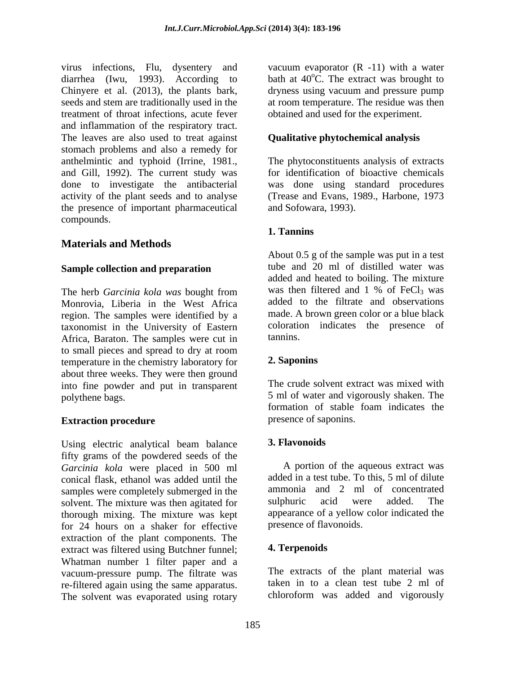virus infections, Flu, dysentery and diarrhea (Iwu, 1993). According to bath at  $40^{\circ}$ C. The extract was brought to Chinyere et al. (2013), the plants bark, seeds and stem are traditionally used in the at room temperature. The residue was then treatment of throat infections, acute fever and inflammation of the respiratory tract. The leaves are also used to treat against stomach problems and also a remedy for anthelmintic and typhoid (Irrine, 1981., The phytoconstituents analysis of extracts and Gill, 1992). The current study was for identification of bioactive chemicals done to investigate the antibacterial was done using standard procedures activity of the plant seeds and to analyse the presence of important pharmaceutical compounds.

### **Materials and Methods**

### **Sample collection and preparation**

Monrovia, Liberia in the West Africa region. The samples were identified by a taxonomist in the University of Eastern coloration<br>Africa Baraton The samples were cut in tannins. Africa, Baraton. The samples were cut in to small pieces and spread to dry at room<br>temperature in the chemistry laboratory for 2. Saponins temperature in the chemistry laboratory for about three weeks. They were then ground into fine powder and put in transparent

Using electric analytical beam balance 3. Flavonoids fifty grams of the powdered seeds of the *Garcinia kola* were placed in 500 ml conical flask, ethanol was added until the samples were completely submerged in the ammonia and 2 ml of concentrated<br>solvent. The mixture was then agitated for sulphuric acid were added. The solvent. The mixture was then agitated for thorough mixing. The mixture was kept for 24 hours on a shaker for effective extraction of the plant components. The<br>extract was filtered using Butchner funnel: 4. Terpenoids extract was filtered using Butchner funnel; Whatman number 1 filter paper and a vacuum-pressure pump. The filtrate was re-filtered again using the same apparatus. The solvent was evaporated using rotary

vacuum evaporator  $(R -11)$  with a water  ${}^{\circ}C$ . The extract was brought to dryness using vacuum and pressure pump obtained and used for the experiment.

### **Qualitative phytochemical analysis**

(Trease and Evans, 1989., Harbone, 1973 and Sofowara, 1993).

### **1. Tannins**

The herb *Garcinia kola was* bought from was then filtered and 1 % of FeCl<sub>3</sub> was About 0.5 g of the sample was put in a test tube and 20 ml of distilled water was added and heated to boiling. The mixture was then filtered and  $1\%$  of FeCl<sub>3</sub> was added to the filtrate and observations made. A brown green color or a blue black coloration indicates the presence of tannins.

### **2. Saponins**

polythene bags. 5 ml of water and vigorously shaken. The **Extraction procedure** extending presence of saponins. The crude solvent extract was mixed with formation of stable foam indicates the presence of saponins.

### **3. Flavonoids**

A portion of the aqueous extract was added in a test tube. To this, 5 ml of dilute ammonia and 2 ml of concentrated sulphuric acid were added. The appearance of a yellow color indicated the presence of flavonoids.

### **4. Terpenoids**

The extracts of the plant material was taken in to a clean test tube 2 ml of chloroform was added and vigorously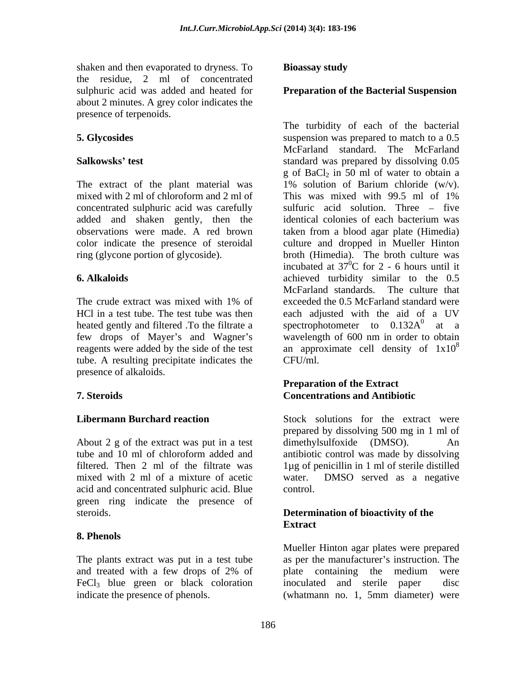shaken and then evaporated to dryness. To **Bioassay study** the residue, 2 ml of concentrated sulphuric acid was added and heated for **Preparation of the Bacterial Suspension** about 2 minutes. A grey color indicates the presence of terpenoids.

The extract of the plant material was  $1\%$  solution of Barium chloride (w/v). mixed with 2 ml of chloroform and 2 ml of This was mixed with 99.5 ml of 1% concentrated sulphuric acid was carefully added and shaken gently, then the identical colonies of each bacterium was

reagents were added by the side of the test tube. A resulting precipitate indicates the CFU/ml. presence of alkaloids.

About 2 g of the extract was put in a test dimethylsulfoxide (DMSO). An mixed with 2 ml of a mixture of acetic water. DMSO served as a negative acid and concentrated sulphuric acid. Blue green ring indicate the presence of steroids. **Determination of bioactivity of the** 

### **8. Phenols**

The plants extract was put in a test tube FeCl<sub>3</sub> blue green or black coloration inoculated and sterile paper disc<br>indicate the presence of phenols. (whatmann no. 1, 5mm diameter) were

### **Bioassay study**

**5. Glycosides** suspension was prepared to match to a 0.5 **Salkowsks' test test standard** was prepared by dissolving 0.05 observations were made. A red brown taken from a blood agar plate (Himedia) color indicate the presence of steroidal culture and dropped in Mueller Hinton ring (glycone portion of glycoside). broth (Himedia). The broth culture was **6. Alkaloids**  achieved turbidity similar to the 0.5 The crude extract was mixed with 1% of exceeded the 0.5 McFarland standard were HCl in a test tube. The test tube was then each adjusted with the aid of a UV heated gently and filtered .To the filtrate a spectrophotometer to  $0.132A<sup>0</sup>$  at a few drops of Mayer's and Wagner's wavelength of 600 nm in order to obtain The turbidity of each of the bacterial McFarland standard. The McFarland  $g$  of BaCl<sub>2</sub> in 50 ml of water to obtain a 1% solution of Barium chloride (w/v). This was mixed with 99.5 ml of 1% sulfuric acid solution. Three  $-$  five identical colonies of each bacterium was incubated at  $37^{\circ}$ C for 2 - 6 hours until it  ${}^{0}C$  for 2 - 6 hours until it McFarland standards. The culture that exceeded the 0.5 McFarland standard were  $\frac{0}{\alpha t}$   $\frac{0}{\alpha t}$ at a an approximate cell density of  $1x10^8$ 8 CFU/ml.

### **7. Steroids Preparation of the Extract Concentrations and Antibiotic**

**Libermann Burchard reaction** Stock solutions for the extract were tube and 10 ml of chloroform added and antibiotic control was made by dissolving filtered. Then 2 ml of the filtrate was 1µg of penicillin in 1 ml of sterile distilled prepared by dissolving 500 mg in 1 ml of dimethylsulfoxide (DMSO). water. DMSO served as a negative control.

# **Extract Extract**

and treated with a few drops of 2% of plate containing the medium were (whatmann no. 1, 5mm diameter) were Mueller Hinton agar plates were prepared as per the manufacturer's instruction. The plate containing the medium were inoculated and sterile paper (whatmann no. 1, 5mm diameter) were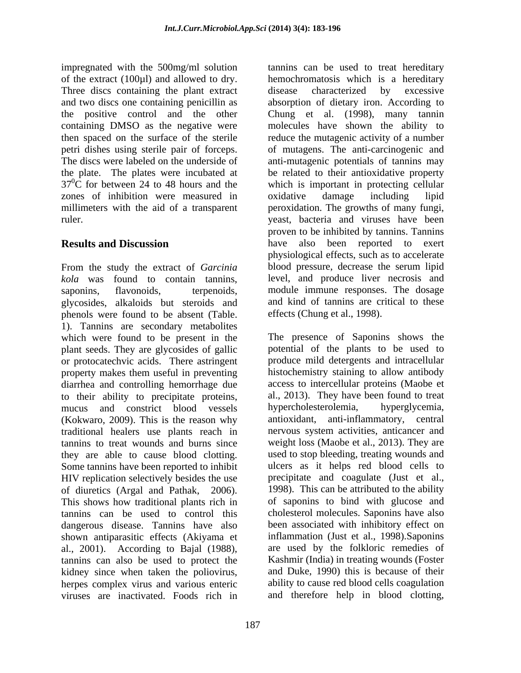impregnated with the 500mg/ml solution tannins can be used to treat hereditary Three discs containing the plant extract disease characterized by excessive zones of inhibition were measured in oxidative damage including lipid

From the study the extract of *Garcinia kola* was found to contain tannins, saponins, flavonoids, terpenoids, module immune responses. The dosage glycosides, alkaloids but steroids and phenols were found to be absent (Table. 1). Tannins are secondary metabolites which were found to be present in the plant seeds. They are glycosides of gallic potential of the plants to be used to or protocatechvic acids. There astringent property makes them useful in preventing diarrhea and controlling hemorrhage due to their ability to precipitate proteins, al., 2013). They have been found to treat<br>mucus and constrict blood vessels hypercholesterolemia, hyperglycemia, mucus and constrict blood vessels (Kokwaro, 2009). This is the reason why antioxidant, anti-inflammatory, central traditional healers use plants reach in tannins to treat wounds and burns since they are able to cause blood clotting. used to stop bleeding, treating wounds and Some tannins have been reported to inhibit HIV replication selectively besides the use of diuretics (Argal and Pathak, 2006). 1998). This can be attributed to the ability<br>This shows how traditional plants rich in of saponins to bind with glucose and tannins can be used to control this cholesterol molecules. Saponins have also dangerous disease. Tannins have also shown antiparasitic effects (Akiyama et al., 2001). According to Bajal (1988), are used by the folkloric remedies of tannins can also be used to protect the Kashmir (India) in treating wounds (Foster kidney since when taken the poliovirus, herpes complex virus and various enteric viruses are inactivated. Foods rich in and therefore help in blood clotting,

of the extract (100µl) and allowed to dry. hemochromatosis which is a hereditary and two discs one containing penicillin as absorption of dietary iron. According to the positive control and the other Chung et al. (1998), many tannin containing DMSO as the negative were molecules have shown the ability to then spaced on the surface of the sterile reduce the mutagenic activity of a number petri dishes using sterile pair of forceps. of mutagens. The anti-carcinogenic and The discs were labeled on the underside of anti-mutagenic potentials of tannins may the plate. The plates were incubated at be related to their antioxidative property  $37^{\circ}$ C for between 24 to 48 hours and the which is important in protecting cellular millimeters with the aid of a transparent peroxidation. The growths of many fungi, ruler. yeast, bacteria and viruses have been **Results and Discussion** have also been reported to exert disease characterized by excessive oxidative damage including lipid proven to be inhibited by tannins. Tannins physiological effects, such as to accelerate blood pressure, decrease the serum lipid level, and produce liver necrosis and and kind of tannins are critical to these effects (Chung et al., 1998).

> The presence of Saponins shows the produce mild detergents and intracellular histochemistry staining to allow antibody access to intercellular proteins (Maobe et al., 2013). They have been found to treat hypercholesterolemia, nervous system activities, anticancer and weight loss (Maobe et al., 2013). They are ulcers as it helps red blood cells to precipitate and coagulate (Just et al., 1998). This can be attributed to the ability of saponins to bind with glucose and been associated with inhibitory effect on inflammation (Just et al., 1998).Saponins are used by the folkloric remedies of Kashmir (India) in treating wounds (Foster and Duke, 1990) this is because of their ability to cause red blood cells coagulation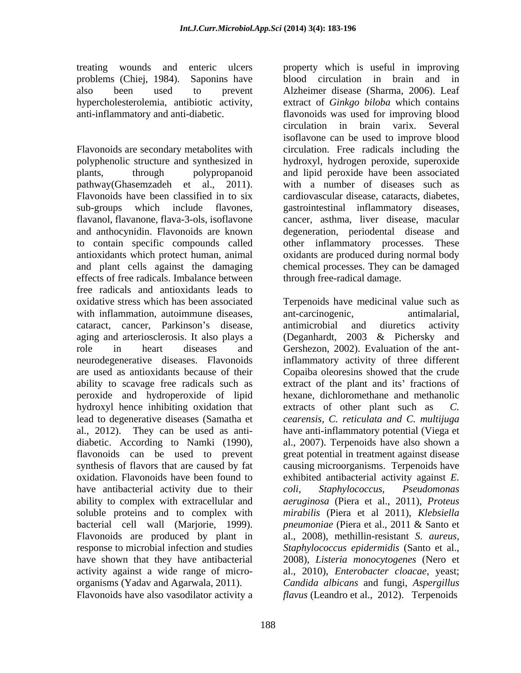Flavonoids are secondary metabolites with circulation. Free radicals including the polyphenolic structure and synthesized in hydroxyl, hydrogen peroxide, superoxide plants, through polypropanoid and lipid peroxide have been associated pathway(Ghasemzadeh et al., 2011). with a number of diseases such as<br>Flavonoids have been classified in to six cardiovascular disease, cataracts, diabetes, sub-groups which include flavones, gastrointestinal inflammatory diseases, flavanol, flavanone, flava-3-ols, isoflavone cancer, asthma, liver disease, macular and anthocynidin. Flavonoids are known degeneration, periodental disease and to contain specific compounds called other inflammatory processes. These antioxidants which protect human, animal oxidants are produced during normal body and plant cells against the damaging chemical processes. They can be damaged effects of free radicals. Imbalance between free radicals and antioxidants leads to peroxide and hydroperoxide of lipid hydroxyl hence inhibiting oxidation that extracts of other plant such as C. have antibacterial activity due to their coli, Staphylococcus, Pseudomonas response to microbial infection and studies

Flavonoids have also vasodilator activity a *flavus* (Leandro et al., 2012). Terpenoids

treating wounds and enteric ulcers property which is useful in improving problems (Chiej, 1984). Saponins have blood circulation in brain and in also been used to prevent Alzheimer disease (Sharma, 2006). Leaf hypercholesterolemia, antibiotic activity, extract of *Ginkgo biloba* which contains anti-inflammatory and anti-diabetic. flavonoids was used for improving blood circulation in brain varix. Several isoflavone can be used to improve blood with a number of diseases such as cardiovascular disease, cataracts, diabetes, through free-radical damage.

oxidative stress which has been associated Terpenoids have medicinal value such as with inflammation, autoimmune diseases, ant-carcinogenic, antimalarial, cataract, cancer, Parkinson's disease, antimicrobial and diuretics activity aging and arteriosclerosis. It also plays a (Deganhardt, 2003 & Pichersky role in heart diseases and Gershezon, 2002). Evaluation of the antneurodegenerative diseases. Flavonoids inflammatory activity of three different are used as antioxidants because of their Copaiba oleoresins showed that the crude ability to scavage free radicals such as extract of the plant and its' fractions of lead to degenerative diseases (Samatha et *cearensis, C. reticulata and C. multijuga* al., 2012). They can be used as anti- have anti-inflammatory potential (Viega et diabetic. According to Namki (1990), al., 2007). Terpenoids have also shown a flavonoids can be used to prevent great potential in treatment against disease synthesis of flavors that are caused by fat causing microorganisms. Terpenoids have oxidation. Flavonoids have been found to exhibited antibacterial activity against *E.*  ability to complex with extracellular and *aeruginosa* (Piera et al., 2011), *Proteus*  soluble proteins and to complex with *mirabilis* (Piera et al 2011), *Klebsiella*  bacterial cell wall (Marjorie, 1999). *pneumoniae* (Piera-et-al., 2011 & Santo-et-<br>Flavonoids are produced by plant in al., 2008), methillin-resistant *S. aureus*, have shown that they have antibacterial 2008), *Listeria monocytogenes* (Nero et activity against a wide range of micro- al., 2010), *Enterobacter cloacae*, yeast; organisms (Yadav and Agarwala, 2011). *Candida albicans* and fungi, *Aspergillus*  ant-carcinogenic, antimalarial, antimicrobial and diuretics activity (Deganhardt, 2003 & Pichersky and hexane, dichloromethane and methanolic extracts of other plant such as al., 2007). Terpenoids have also shown a great potential in treatment against disease *coli, Staphylococcus, Pseudomonas pneumoniae* (Piera et al., 2011 & Santo et al., 2008), methillin-resistant *S. aureus, Staphylococcus epidermidis* (Santo et al.,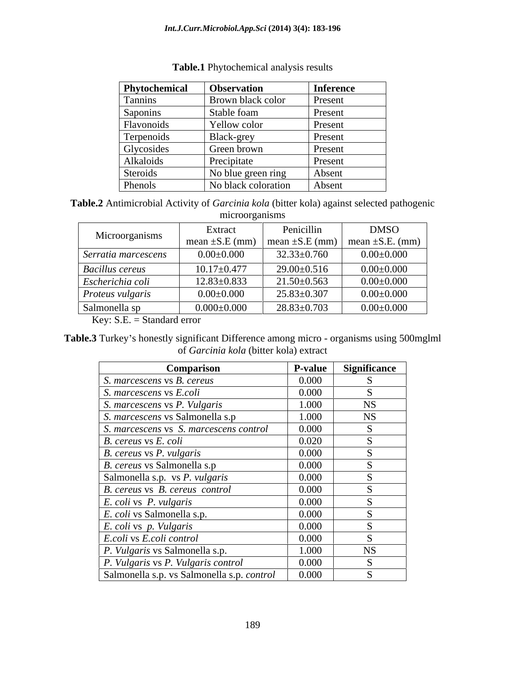| Phytochemical | <b>Observation</b>       | <b>Inference</b> |
|---------------|--------------------------|------------------|
| Tannins       | <b>Brown black color</b> | Present          |
| Saponins      | Stable foam              | Present          |
| Flavonoids    | Yellow color             | Present          |
| Terpenoids    | Black-grey               | Present          |
| Glycosides    | Green brown              | Present          |
| Alkaloids     | Precipitate              | Present          |
| Steroids      | No blue green ring       | Absent           |
| Phenols       | No black coloration      | Absent           |

### **Table.1** Phytochemical analysis results

**Table.2** Antimicrobial Activity of *Garcinia kola* (bitter kola) against selected pathogenic microorganisms

| Microorganisms         | Extract           | Penicillin        | <b>DMSO</b>                                                                                  |
|------------------------|-------------------|-------------------|----------------------------------------------------------------------------------------------|
|                        |                   |                   | $\vert$ mean $\pm$ S.E (mm) $\vert$ mean $\pm$ S.E (mm) $\vert$ mean $\pm$ S.E. (mm) $\vert$ |
| Serratia marcescens    | $0.00\pm0.000$    | $32.33 \pm 0.760$ | $0.00{\pm}0.000$                                                                             |
| <b>Bacillus cereus</b> | $10.17 \pm 0.477$ | $29.00 \pm 0.516$ | $0.00\pm0.000$                                                                               |
| Escherichia coli       | $12.83 \pm 0.833$ | $21.50\pm0.563$   | $0.00\pm0.000$                                                                               |
| Proteus vulgaris       | $0.00\pm0.000$    | $25.83 \pm 0.307$ | $0.00\pm0.000$                                                                               |
| Salmonella sp          | $0.000\pm0.000$   | $28.83 \pm 0.703$ | $0.00\pm0.000$                                                                               |

Key: S.E. = Standard error

Table.3 Turkey's honestly significant Difference among micro - organisms using 500mglml of *Garcinia kola* (bitter kola) extract

| Comparison                                 | <b>P-value</b> | <b>Significance</b> |
|--------------------------------------------|----------------|---------------------|
| S. marcescens vs B. cereus                 | 0.000          |                     |
| S. marcescens vs E.coli                    | 0.000          |                     |
| S. marcescens vs P. Vulgaris               | 1.000          | $_{\rm NS}$         |
| S. marcescens vs Salmonella s.p            | 1.000          | $_{\rm NS}$         |
| S. marcescens vs S. marcescens control     | 0.000          |                     |
| B. cereus vs E. coli                       | 0.020          |                     |
| <i>B. cereus vs P. vulgaris</i>            | 0.000          |                     |
| B. cereus vs Salmonella s.p                | 0.000          |                     |
| Salmonella s.p. vs P. vulgaris             | 0.000          |                     |
| B. cereus vs B. cereus control             | 0.000          |                     |
| <i>E. coli</i> vs <i>P. vulgaris</i>       | 0.000          |                     |
| <i>E. coli</i> vs Salmonella s.p.          | 0.000          |                     |
| <i>E. coli vs. p. Vulgaris</i>             | 0.000          |                     |
| E.coli vs E.coli control                   | 0.000          |                     |
| <i>P. Vulgaris</i> vs Salmonella s.p.      | 1.000          | <b>NS</b>           |
| P. Vulgaris vs P. Vulgaris control         | 0.000          |                     |
| Salmonella s.p. vs Salmonella s.p. control | 0.000          |                     |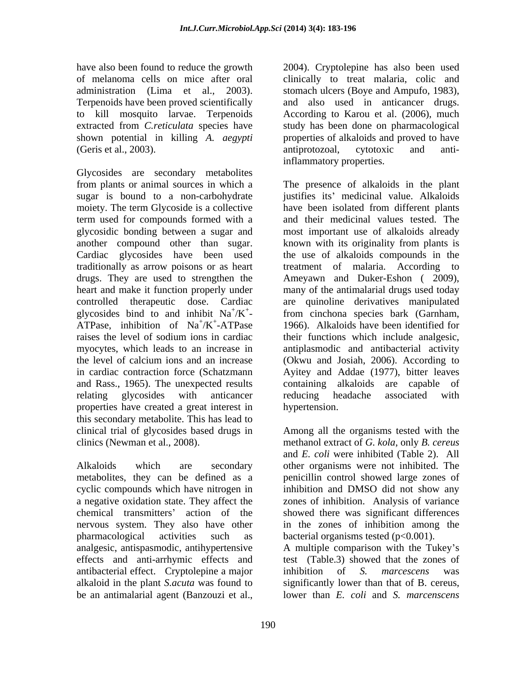extracted from *C.reticulata* species have (Geris et al., 2003). The anti-

Glycosides are secondary metabolites moiety. The term Glycoside is a collective have been isolated from different plants traditionally as arrow poisons or as heart treatment of malaria. According to drugs. They are used to strengthen the Ameyawn and Duker-Eshon (2009), heart and make it function properly under many of the antimalarial drugs used today properties have created a great interest in this secondary metabolite. This has lead to clinical trial of glycosides based drugs in Among all the organisms tested with the clinics (Newman et al., 2008). methanol extract of *G. kola*, only *B. cereus*

Alkaloids which are secondary other organisms were not inhibited. The metabolites, they can be defined as a penicillin control showed large zones of cyclic compounds which have nitrogen in inhibition and DMSO did not show any a negative oxidation state. They affect the zones of inhibition. Analysis of variance chemical transmitters' action of the showed there was significant differences nervous system. They also have other pharmacological activities such as bacterial organisms tested (p<0.001). analgesic, antispasmodic, antihypertensive effects and anti-arrhymic effects and antibacterial effect. Cryptolepine a major inhibition of S. marcescens was alkaloid in the plant *S.acuta* was found to be an antimalarial agent (Banzouzi et al.,

have also been found to reduce the growth 2004). Cryptolepine has also been used of melanoma cells on mice after oral clinically to treat malaria, colic and administration (Lima et al., 2003). stomach ulcers (Boye and Ampufo, 1983),<br>Terpenoids have been proved scientifically and also used in anticancer drugs. to kill mosquito larvae. Terpenoids According to Karou et al. (2006), much shown potential in killing *A. aegypti* properties of alkaloids and proved to have stomach ulcers (Boye and Ampufo, 1983), and also used in anticancer drugs. study has been done on pharmacological antiprotozoal, cytotoxic and antiinflammatory properties.

from plants or animal sources in which a The presence of alkaloids in the plant sugar is bound to a non-carbohydrate justifies its medicinal value. Alkaloids term used for compounds formed with a and their medicinal values tested. The glycosidic bonding between a sugar and most important use of alkaloids already another compound other than sugar. known with its originality from plants is Cardiac glycosides have been used the use of alkaloids compounds in the controlled therapeutic dose. Cardiac are quinoline derivatives manipulated glycosides bind to and inhibit  $\text{Na}^+/ \text{K}^+$ - from cinchona species bark (Garnham, ATPase, inhibition of  $\text{Na}^{\dagger}/\text{K}^{\dagger}$ -ATPase 1966). Alkaloids have been identified for raises the level of sodium ions in cardiac their functions which include analgesic, myocytes, which leads to an increase in antiplasmodic and antibacterial activity the level of calcium ions and an increase (Okwu and Josiah, 2006). According to in cardiac contraction force (Schatzmann Ayitey and Addae (1977), bitter leaves and Rass., 1965). The unexpected results containing alkaloids are capable of relating glycosides with anticancer have been isolated from different plants treatment of malaria. According Ameyawn and Duker-Eshon ( 2009), many of the antimalarial drugs used today reducing headache associated with hypertension.

> and *E. coli* were inhibited (Table 2). All in the zones of inhibition among the

A multiple comparison with the Tukey's test (Table.3) showed that the zones of inhibition of *S. marcescens* was significantly lower than that of B. cereus, lower than *E. coli* and *S. marcenscens*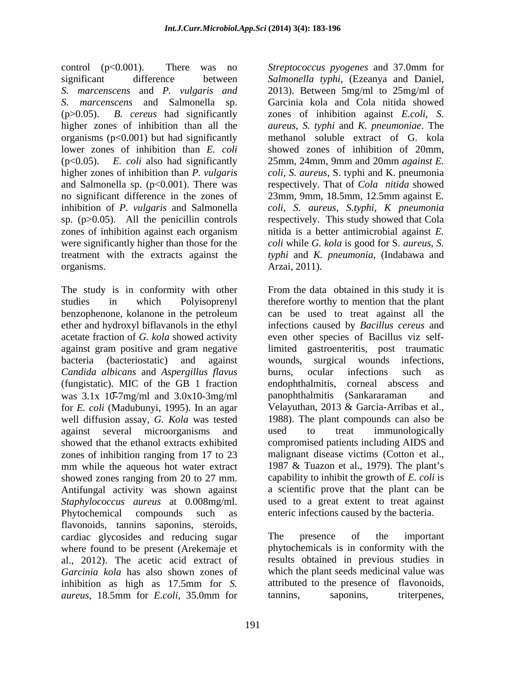control (p<0.001). There was no *Streptococcus pyogenes* and 37.0mm for significant difference between *Salmonella typhi*, (Ezeanya and Daniel, *S. marcenscens* and *P. vulgaris and* 2013). Between 5mg/ml to 25mg/ml of *S. marcenscens* and Salmonella sp. Garcinia kola and Cola nitida showed (p>0.05). *B. cereus* had significantly zones of inhibition against *E.coli*, *S.*  higher zones of inhibition than all the *aureus, S. typhi* and *K. pneumoniae*. The organisms  $(p<0.001)$  but had significantly lower zones of inhibition than *E. coli* (p<0.05). *E. coli* also had significantly 25mm, 24mm, 9mm and 20mm *against E.* higher zones of inhibition than *P. vulgaris coli, S. aureus*, S. typhi and K. pneumonia and Salmonella sp.  $(p<0.001)$ . There was no significant difference in the zones of 23mm, 9mm, 18.5mm, 12.5mm against E. inhibition of *P. vulgaris* and Salmonella sp. (p>0.05). All the penicillin controls respectively. This study showed that Cola zones of inhibition against each organism were significantly higher than those for the *coli* while *G. kola* is good for S*. aureus, S.* treatment with the extracts against the *typhi* and *K. pneumonia*, (Indabawa and organisms. Arzai, 2011).

ether and hydroxyl biflavanols in the ethyl *Candida albicans* and *Aspergillus flavus* (fungistatic). MIC of the GB 1 fraction was 3.1x 10-7mg/ml and 3.0x10-3mg/ml panophthalmitis (Sankararaman and for *E. coli* (Madubunyi, 1995). In an agar well diffusion assay, *G. Kola* was tested as 1988). The plant compounds can also be against several microorganisms and used to treat immunologically showed zones ranging from 20 to 27 mm. Antifungal activity was shown against *Staphylococcus aureus* at 0.008mg/ml. Phytochemical compounds such as enteric infections caused by the bacteria. flavonoids, tannins saponins, steroids, cardiac glycosides and reducing sugar where found to be present (Arekemaje et al., 2012). The acetic acid extract of results obtained in previous studies in *Garcinia kola* has also shown zones of which the plant seeds medicinal value was inhibition as high as 17.5mm for *S. aureus*, 18.5mm for *E.coli,* 35.0mm for

methanol soluble extract of G. kola showed zones of inhibition of 20mm, respectively. That of *Cola nitida* showed 23mm, 9mm, 18.5mm, 12.5mm against <sup>E</sup>*. coli, S. aureus*, *S.typhi, <sup>K</sup> pneumonia* nitida is a better antimicrobial against *E.* 

The study is in conformity with other From the data obtained in this study it is studies in which Polyisoprenyl therefore worthy to mention that the plant benzophenone, kolanone in the petroleum acetate fraction of *G. kola* showed activity even other species of Bacillus viz selfagainst gram positive and gram negative limited gastroenteritis, post traumatic bacteria (bacteriostatic) and against against several microorganisms and showed that the ethanol extracts exhibited compromised patients including AIDS and zones of inhibition ranging from 17 to 23 analignant disease victims (Cotton et al., mm while the aqueous hot water extract 1987 & Tuazon et al., 1979). The plant's can be used to treat against all the infections caused by *Bacillus cereus* and wounds, surgical wounds infections, burns, ocular infections such as endophthalmitis, corneal abscess and panophthalmitis (Sankararaman Velayuthan, 2013 & Garcia-Arribas et al., 1988). The plant compounds can also be used to treat immunologically malignant disease victims (Cotton et al., capability to inhibit the growth of *E. coli* is a scientific prove that the plant can be used to a great extent to treat against

> The presence of the important phytochemicals is in conformity with the attributed to the presence of flavonoids, tannins, saponins, triterpenes,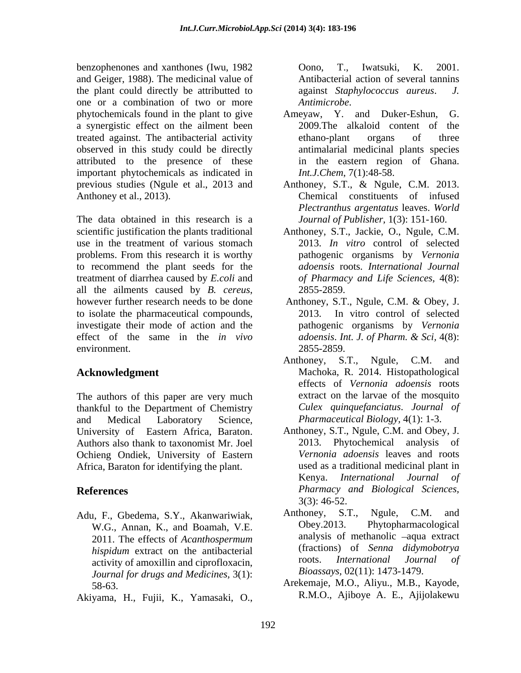benzophenones and xanthones (Iwu, 1982 Oono, T., Iwatsuki, K. 2001. and Geiger, 1988). The medicinal value of the plant could directly be attributted to against *Staphylococcus aureus*. J. one or a combination of two or more phytochemicals found in the plant to give Ameyaw, Y. and Duker-Eshun, G. a synergistic effect on the ailment been 2009. The alkaloid content of the treated against. The antibacterial activity observed in this study could be directly attributed to the presence of these important phytochemicals as indicated in

The data obtained in this research is a use in the treatment of various stomach problems. From this research it is worthy to recommend the plant seeds for the treatment of diarrhea caused by *E.coli* and all the ailments caused by *B. cereus*, 2855-2859.<br>however further research needs to be done Anthoney, S.T., Ngule, C.M. & Obey, J. to isolate the pharmaceutical compounds, investigate their mode of action and the effect of the same in the *in vivo adoensis. Int. J. of Pharm. & Sci,* 4(8): environment. 2855-2859. bezonds and various of the internet comparison of the matrix of the series of the internet control of the matrix of the matrix of the matrix of the internet control of the matrix of the series of the series of the series

The authors of this paper are very much thankful to the Department of Chemistry and Medical Laboratory Science, *Pharmaceutical Biology*, 4(1): 1-3.<br>University of Eastern Africa, Baraton. Anthoney, S.T., Ngule, C.M. and Obey, J. Authors also thank to taxonomist Mr. Joel Ochieng Ondiek, University of Eastern Africa, Baraton for identifying the plant.

- W.G., Annan, K., and Boamah, V.E. 2011. The effects of *Acanthospermum*  activity of amoxillin and ciprofloxacin, *Journal for drugs and Medicines,* 3(1):
- 

 $a$ gainst *Staphylococcus aureus*. *Antimicrobe*.

- Ameyaw, Y. and Duker-Eshun, 2009.The alkaloid content of ethano-plant organs of three antimalarial medicinal plants species in the eastern region of Ghana. *Int.J.Chem*, 7(1):48-58.
- previous studies (Ngule et al., 2013 and Anthoney, S.T., & Ngule, C.M. 2013. Anthoney et al., 2013). Chemical constituents of infused *Plectranthus argentatus* leaves. *World Journal of Publisher,* 1(3): 151-160.
- scientific justification the plants traditional Anthoney, S.T., Jackie, O., Ngule, C.M. 2013. *In vitro* control of selected pathogenic organisms by *Vernonia adoensis* roots. *International Journal of Pharmacy and Life Sciences,* 4(8): 2855-2859.
	- Anthoney, S.T., Ngule, C.M. & Obey, J. 2013. In vitro control of selected pathogenic organisms by *Vernonia adoensis*. *Int. J. of Pharm. & Sci,* 4(8): 2855-2859.
- **Acknowledgment** Machoka, R. 2014. Histopathological Anthoney, S.T., Ngule, C.M. and effects of *Vernonia adoensis* roots extract on the larvae of the mosquito *Culex quinquefanciatus*. *Journal of Pharmaceutical Biology,* 4(1): 1-3.
- **References** *Pharmacy and Biological Sciences,* Anthoney, S.T., Ngule, C.M. and Obey, J. 2013. Phytochemical analysis of *Vernonia adoensis* leaves and roots used as a traditional medicinal plant in Kenya. *International Journal of* 3(3): 46-52.
- Adu, F., Gbedema, S.Y., Akanwariwiak, Anthoney, S.T., Ngule, C.M. and W.G. Annan K. and Boamah V.E. Obey.2013. Phytopharmacological *hispidum* extract on the antibacterial (tractions) of *Senna didymobotrya*<br>activity of amovilling and cinrofloxacing the roots. *International Journal of* Anthoney, S.T., Ngule, C.M. and Phytopharmacological analysis of methanolic -aqua extract (fractions) of *Senna didymobotrya* roots. *International Journal of Bioassays,* 02(11): 1473-1479.
	- 58-63. Arekemaje, M.O., Aliyu., M.B., Kayode, R.M.O., Ajiboye A. E., Ajijolakewu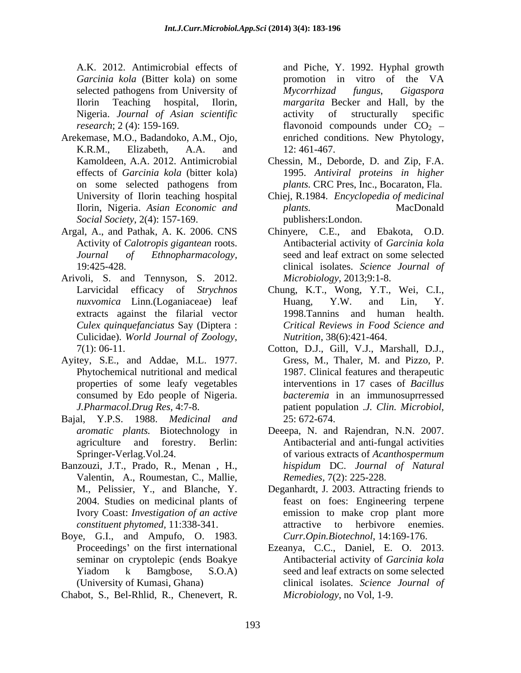*Garcinia kola* (Bitter kola) on some **b** promotion in vitro of the VA Nigeria. *Journal of Asian scientific*

- Arekemase, M.O., Badandoko, A.M., Ojo, *Social Society*, 2(4): 157-169.
- Argal, A., and Pathak, A. K. 2006. CNS
- Arivoli, S. and Tennyson, S. 2012. *Culex quinquefanciatus* Say (Diptera : Culicidae). *World Journal of Zoology*, 7(1): 06-11.
- Ayitey, S.E., and Addae, M.L. 1977. properties of some leafy vegetables consumed by Edo people of Nigeria.
- Bajal, Y.P.S. 1988. *Medicinal and*
- Banzouzi, J.T., Prado, R., Menan , H., Valentin, A., Roumestan, C., Mallie,
- Boye, G.I., and Ampufo, O. 1983.
- Chabot, S., Bel-Rhlid, R., Chenevert, R.

A.K. 2012. Antimicrobial effects of and Piche, Y. 1992. Hyphal growth selected pathogens from University of *Mycorrhizad fungus*, *Gigaspora* Ilorin Teaching hospital, Ilorin, *margarita* Becker and Hall, by the *research*; 2 (4): 159-169. **Flavonoid** compounds under  $CO_2$  – K.R.M., Elizabeth, A.A. and promotion in vitro of the VA *Mycorrhizad fungus*, *Gigaspora*  activity of structurally specific enriched conditions. New Phytology, 12: 461-467.

- Kamoldeen, A.A. 2012. Antimicrobial Chessin, M., Deborde, D. and Zip, F.A. effects of *Garcinia kola* (bitter kola) 1995. *Antiviral proteins in higher* on some selected pathogens from *plants*. CRC Pres, Inc., Bocaraton, Fla. *plants.* CRC Pres, Inc., Bocaraton, Fla.
- University of Ilorin teaching hospital Chiej, R.1984. *Encyclopedia of medicinal* Ilorin, Nigeria. *Asian Economic and plants.* MacDonald publishers:London.
- Activity of *Calotropis gigantean* roots. Antibacterial activity of *Garcinia kola Journal of Ethnopharmacology,* seed and leaf extract on some selected 19:425-428. clinical isolates. *Science Journal of* Chinyere, C.E., and Ebakota, O.D. *Microbiology*, 2013;9:1-8.
- Larvicidal efficacy of *Strychnos*  Chung, K.T., Wong, Y.T., Wei, C.I., *nuxvomica* Linn.(Loganiaceae) leaf Huang, Y.W. and Lin, Y. extracts against the filarial vector 1998.Tannins and human health. Huang, Y.W. and Lin, Y. *Critical Reviews in Food Science and Nutrition*, 38(6):421-464.
- Phytochemical nutritional and medical 1987. Clinical features and therapeutic *J.Pharmacol.Drug Res,* 4:7-8. Cotton, D.J., Gill, V.J., Marshall, D.J., Gress, M., Thaler, M. and Pizzo, P. interventions in 17 cases of *Bacillus bacteremia* in an immunosuprressed patient population .*J. Clin. Microbiol*, 25: 672-674.
- *aromatic plants.* Biotechnology in Deeepa, N. and Rajendran, N.N. 2007. agriculture and forestry. Berlin: Antibacterial and anti-fungal activities Springer-Verlag.Vol.24. of various extracts of *Acanthospermum hispidum* DC. *Journal of Natural Remedies,* 7(2): 225-228.
- M., Pelissier, Y., and Blanche, Y. Deganhardt, J. 2003. Attracting friends to 2004. Studies on medicinal plants of feast on foes: Engineering terpene Ivory Coast: *Investigation of an active* emission to make crop plant more *constituent phytomed,* 11:338-341. attractive to herbivore enemies. *Curr.Opin.Biotechnol*, 14:169-176.
- Proceedings' on the first international Ezeanya, C.C., Daniel, E. O. 2013. seminar on cryptolepic (ends Boakye Antibacterial activity of Garcinia kola Yiadom k Bamgbose, S.O.A) seed and leaf extracts on some selected (University of Kumasi, Ghana) clinical isolates. *Science Journal of* Ezeanya, C.C., Daniel, E. O. 2013. Antibacterial activity of *Garcinia kola* seed and leaf extracts on some selected *Microbiology*, no Vol, 1-9.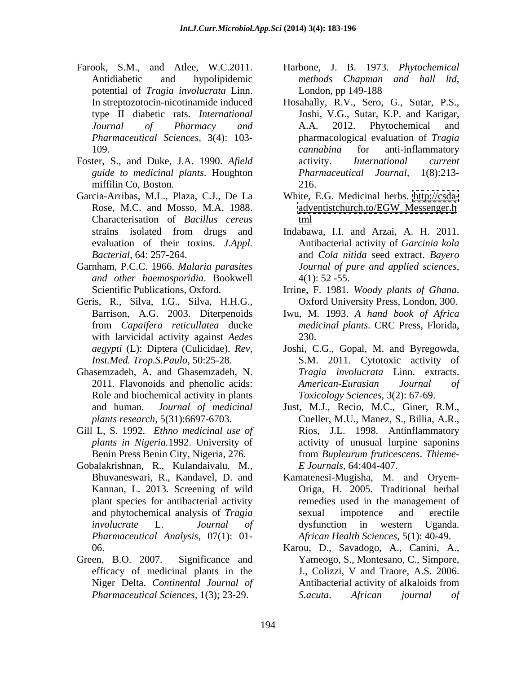- potential of *Tragia involucrata* Linn. *Pharmaceutical Sciences,* 3(4): 103-
- Foster, S., and Duke, J.A. 1990. *Afield*  miffilin Co, Boston. 216.
- Garcia-Arribas, M.L., Plaza, C.J., De La White, E.G. Medicinal herbs. <http://csda-> Characterisation of *Bacillus cereus*
- Garnham, P.C.C. 1966. *Malaria parasites Journal of pure and applied sciences, and other haemosporidia*. Bookwell
- Geris, R., Silva, I.G., Silva, H.H.G., Oxford University Press, London, 300. with larvicidal activity against *Aedes* 230.
- Ghasemzadeh, A. and Ghasemzadeh, N. Role and biochemical activity in plants
- Gill L, S. 1992. *Ethno medicinal use of*
- Gobalakrishnan, R., Kulandaivalu, M., plant species for antibacterial activity *Pharmaceutical Analysis*, 07(1): 01-
- Green, B.O. 2007. Significance and Yameogo, S., Montesano, C., Simpore,
- Farook, S.M., and Atlee, W.C.2011. Harbone, J. B. 1973. *Phytochemical*  Antidiabetic and hypolipidemic methods Chapman and hall ltd, *methods Chapman and hall ltd*, London, pp 149-188
	- In streptozotocin-nicotinamide induced Hosahally, R.V., Sero, G., Sutar, P.S., type II diabetic rats. *International*  Joshi, V.G., Sutar, K.P. and Karigar, *Journal of Pharmacy and* 109. cannabina for anti-inflammatory *guide to medicinal plants*. Houghton A.A. 2012. Phytochemical and pharmacological evaluation of *Tragia cannabina* for anti-inflammatory activity. *International current Pharmaceutical Journal,* 216.
	- Rose, M.C. and Mosso, M.A. 1988. <br>[adventistchurch.to/EGW\\_Messenger.h](adventistchurch.to/EGW_Messenger.h) t<u>ml</u>
	- strains isolated from drugs and Indabawa, I.I. and Arzai, A. H. 2011. evaluation of their toxins. *J.Appl. Bacterial,* 64: 257-264. and *Cola nitida* seed extract. *Bayero*  Indabawa, I.I. and Arzai, A. H. 2011. Antibacterial activity of *Garcinia kola Journal of pure and applied sciences*, 4(1): 52 -55.
	- Scientific Publications, Oxford. Irrine, F. 1981. Woody plants of Ghana. Irrine, F. 1981. *Woody plants of Ghana*. Oxford University Press, London, 300.
	- Barrison, A.G. 2003. Diterpenoids Iwu, M. 1993. *A hand book of Africa* from *Capaifera reticullatea* ducke *medicinal plants*. CRC Press, Florida, 230.
	- *aegypti* (L): Diptera (Culicidae). *Rev,*  Joshi, C.G., Gopal, M. and Byregowda, *Inst.Med. Trop.S.Paulo*, 50:25-28. S.M. 2011. Cytotoxic activity of 2011. Flavonoids and phenolic acids: American-Eurasian Journal of *Tragia involucrata* Linn. extracts. *American-Eurasian Journal of Toxicology Sciences,* 3(2): 67-69.
	- and human. *Journal of medicinal* Just, M.J., Recio, M.C., Giner, R.M., *plants research,* 5(31):6697-6703. Cueller, M.U., Manez, S., Billia, A.R., *plants in Nigeria.*1992. University of activity of unusual lurpine saponins Benin Press Benin City, Nigeria, 276. from *Bupleurum fruticescens*. *Thieme-* Rios, J.L. 1998. Antinflammatory *E Journals*, 64:404-407.
	- Bhuvaneswari, R., Kandavel, D. and Kamatenesi-Mugisha, M. and Oryem- Kannan, L. 2013. Screening of wild Origa, H. 2005.Traditional herbal and phytochemical analysis of *Tragia involucrate* L. *Journal of* remedies used in the management of sexual impotence and erectile dysfunction in western Uganda. *African Health Sciences,* 5(1): 40-49.
	- 06. Karou, D., Savadogo, A., Canini, A., efficacy of medicinal plants in the  $J_{1}$ , Colizzi, V and Traore, A.S. 2006. Niger Delta. *Continental Journal of Pharmaceutical Sciences*, 1(3); 23-29. J., Colizzi, <sup>V</sup> and Traore, A.S. 2006.Antibacterial activity of alkaloids from *S.acuta*. *African journal of*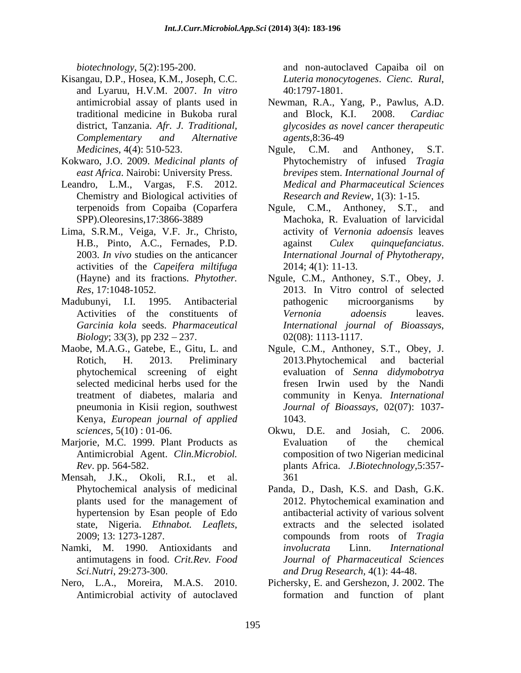- Kisangau, D.P., Hosea, K.M., Joseph, C.C. and Lyaruu, H.V.M. 2007. *In vitro*
- Kokwaro, J.O. 2009. *Medicinal plants of east Africa*. Nairobi: University Press.
- Chemistry and Biological activities of
- Lima, S.R.M., Veiga, V.F. Jr., Christo, activities of the *Capeifera miltifuga*
- *Biology*; 33(3), pp  $232 237$ . 02(08): 1113-1117.
- Maobe, M.A.G., Gatebe, E., Gitu, L. and Ngule, C.M., Anthoney, S.T., Obey, J. Kenya, *European journal of applied*
- Marjorie, M.C. 1999. Plant Products as Final Evaluation of the chemical
- Mensah, J.K., Okoli, R.I., et al.
- Namki, M. 1990. Antioxidants and *involucrata* Linn. *International*
- Nero, L.A., Moreira, M.A.S. 2010. Pichersky, E. and Gershezon, J. 2002. The

*biotechnology*, 5(2):195-200. and non-autoclaved Capaiba oil on *Luteria monocytogenes*. *Cienc. Rural*, 40:1797-1801.

- antimicrobial assay of plants used in Newman, R.A., Yang, P., Pawlus, A.D. traditional medicine in Bukoba rural and Block, K.I. 2008. Cardiac district, Tanzania. *Afr. J. Traditional, glycosides as novel cancer therapeutic Complementary and Alternative* and Block, K.I. 2008. *Cardiac agents*,8:36-49
- *Medicines,* 4(4): 510-523. Leandro, L.M., Vargas, F.S. 2012. *Medical and Pharmaceutical Sciences* Ngule, C.M. and Anthoney, S.T. Phytochemistry of infused *Tragia brevipes* stem. *International Journal of Research and Review,* 1(3): 1-15.
	- terpenoids from Copaiba (Coparfera Ngule, C.M., Anthoney, S.T., and SPP).Oleoresins,17:3866-3889 Machoka, R. Evaluation of larvicidal H.B., Pinto, A.C., Fernades, P.D. 2003. *In vivo* studies on the anticancer *International Journal of Phytotherapy,* activity of *Vernonia adoensis* leaves against *Culex quinquefanciatus*. 2014; 4(1): 11-13.
- (Hayne) and its fractions. *Phytother.*  Ngule, C.M., Anthoney, S.T., Obey, J. *Res*, 17:1048-1052. 2013. In Vitro control of selected Madubunyi, I.I. 1995. Antibacterial Activities of the constituents of *Vernonia adoensis* leaves. *Garcinia kola* seeds. *Pharmaceutical International journal of Bioassays*, 02(08): 1113-1117. pathogenic microorganisms by *Vernonia adoensis* leaves.
	- Rotich, H. 2013. Preliminary 2013. Phytochemical and bacterial phytochemical screening of eight evaluation of *Senna didymobotrya* selected medicinal herbs used for the fresen Irwin used by the Nandi treatment of diabetes, malaria and community in Kenya. *International*  pneumonia in Kisii region, southwest *Journal of Bioassays,* 02(07): 1037- 2013.Phytochemical and bacterial 1043.
	- *sciences,* 5(10) : 01-06. Okwu, D.E. and Josiah, C. 2006. Antimicrobial Agent. *Clin.Microbiol.*  composition of two Nigerian medicinal *Rev*. pp. 564-582. plants Africa. *J.Biotechnology*,5:357- Evaluation of the chemical 361
	- Phytochemical analysis of medicinal Panda, D., Dash, K.S. and Dash, G.K. plants used for the management of 2012. Phytochemical examination and hypertension by Esan people of Edo antibacterial activity of various solvent state, Nigeria. *Ethnabot. Leaflets*, 2009; 13: 1273-1287. antimutagens in food. *Crit.Rev. Food Journal of Pharmaceutical Sciences Sci.Nutri*, 29:273-300. *and Drug Research,* 4(1): 44-48. extracts and the selected isolated compounds from roots of *Tragia involucrata* Linn. *International*
	- Antimicrobial activity of autoclaved formation and function of plant